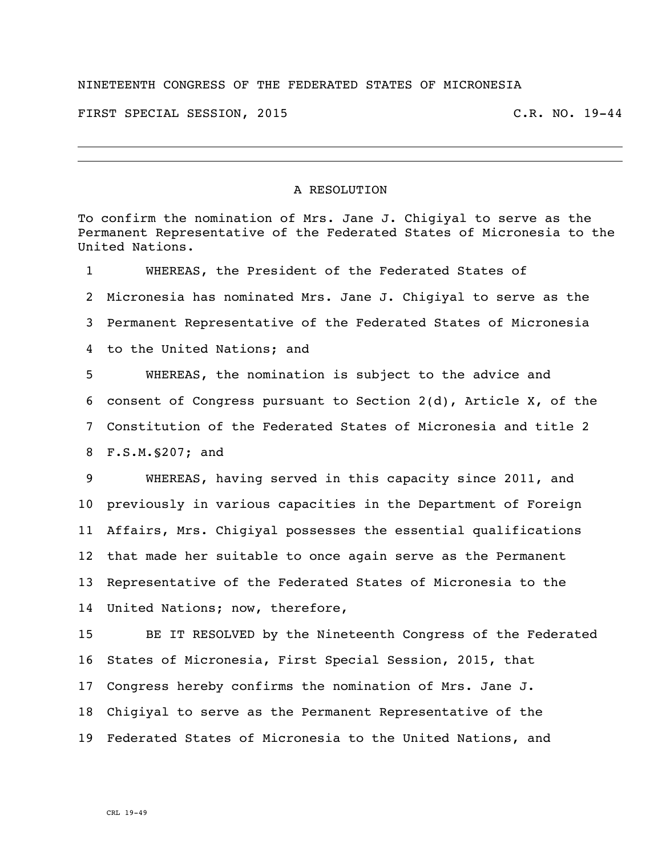## NINETEENTH CONGRESS OF THE FEDERATED STATES OF MICRONESIA

FIRST SPECIAL SESSION, 2015 TIRST C.R. NO. 19-44

## A RESOLUTION

To confirm the nomination of Mrs. Jane J. Chigiyal to serve as the Permanent Representative of the Federated States of Micronesia to the United Nations. WHEREAS, the President of the Federated States of Micronesia has nominated Mrs. Jane J. Chigiyal to serve as the

Permanent Representative of the Federated States of Micronesia

to the United Nations; and

 WHEREAS, the nomination is subject to the advice and consent of Congress pursuant to Section 2(d), Article X, of the Constitution of the Federated States of Micronesia and title 2 F.S.M.§207; and

 WHEREAS, having served in this capacity since 2011, and previously in various capacities in the Department of Foreign Affairs, Mrs. Chigiyal possesses the essential qualifications that made her suitable to once again serve as the Permanent Representative of the Federated States of Micronesia to the United Nations; now, therefore,

 BE IT RESOLVED by the Nineteenth Congress of the Federated States of Micronesia, First Special Session, 2015, that Congress hereby confirms the nomination of Mrs. Jane J. Chigiyal to serve as the Permanent Representative of the Federated States of Micronesia to the United Nations, and